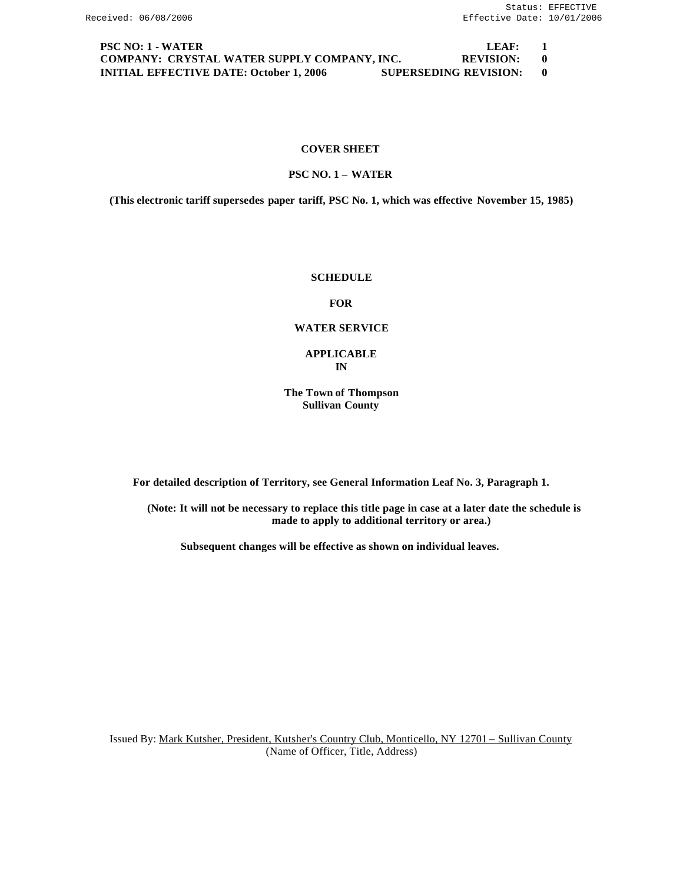**PSC NO: 1 - WATER LEAF: 1 COMPANY: CRYSTAL WATER SUPPLY COMPANY, INC. REVISION: 0 INITIAL EFFECTIVE DATE: October 1, 2006 SUPERSEDING REVISION: 0**

#### **COVER SHEET**

## **PSC NO. 1 – WATER**

**(This electronic tariff supersedes paper tariff, PSC No. 1, which was effective November 15, 1985)**

## **SCHEDULE**

**FOR**

#### **WATER SERVICE**

**APPLICABLE IN**

**The Town of Thompson Sullivan County**

**For detailed description of Territory, see General Information Leaf No. 3, Paragraph 1.**

**(Note: It will not be necessary to replace this title page in case at a later date the schedule is made to apply to additional territory or area.)**

**Subsequent changes will be effective as shown on individual leaves.**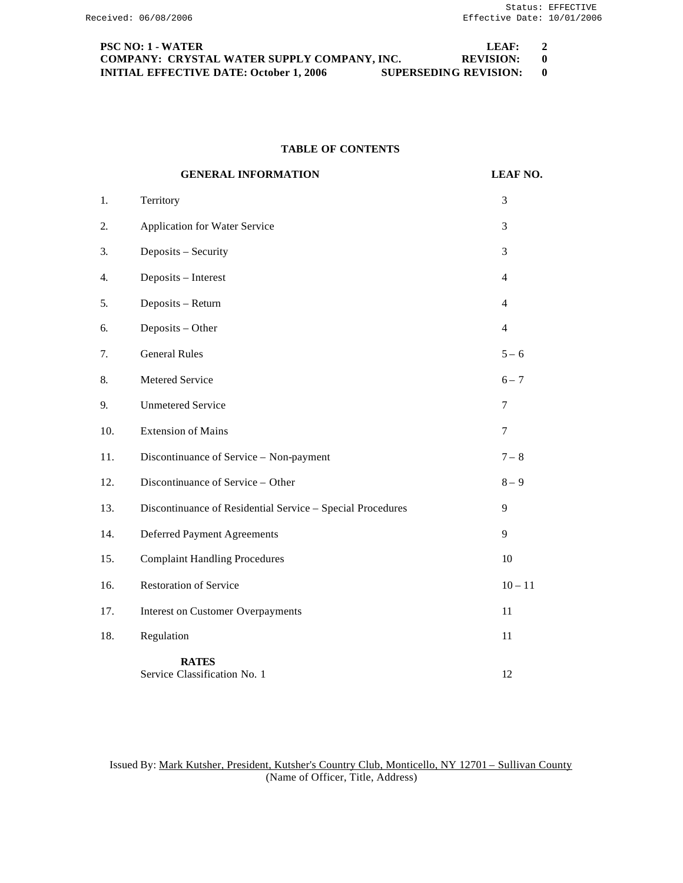| <b>PSC NO: 1 - WATER</b>                       | LEAF:                 | <sup>2</sup> |
|------------------------------------------------|-----------------------|--------------|
| COMPANY: CRYSTAL WATER SUPPLY COMPANY, INC.    | <b>REVISION:</b>      |              |
| <b>INITIAL EFFECTIVE DATE: October 1, 2006</b> | SUPERSEDING REVISION: |              |

## **TABLE OF CONTENTS**

|     | <b>GENERAL INFORMATION</b>                                 | <b>LEAF NO.</b> |
|-----|------------------------------------------------------------|-----------------|
| 1.  | Territory                                                  | 3               |
| 2.  | <b>Application for Water Service</b>                       | 3               |
| 3.  | Deposits - Security                                        | 3               |
| 4.  | Deposits - Interest                                        | $\overline{4}$  |
| 5.  | Deposits - Return                                          | $\overline{4}$  |
| 6.  | Deposits - Other                                           | $\overline{4}$  |
| 7.  | <b>General Rules</b>                                       | $5 - 6$         |
| 8.  | Metered Service                                            | $6 - 7$         |
| 9.  | <b>Unmetered Service</b>                                   | $\tau$          |
| 10. | <b>Extension of Mains</b>                                  | 7               |
| 11. | Discontinuance of Service - Non-payment                    | $7 - 8$         |
| 12. | Discontinuance of Service - Other                          | $8-9$           |
| 13. | Discontinuance of Residential Service - Special Procedures | 9               |
| 14. | <b>Deferred Payment Agreements</b>                         | 9               |
| 15. | <b>Complaint Handling Procedures</b>                       | 10              |
| 16. | <b>Restoration of Service</b>                              | $10 - 11$       |
| 17. | <b>Interest on Customer Overpayments</b>                   | 11              |
| 18. | Regulation                                                 | 11              |
|     | <b>RATES</b><br>Service Classification No. 1               | 12              |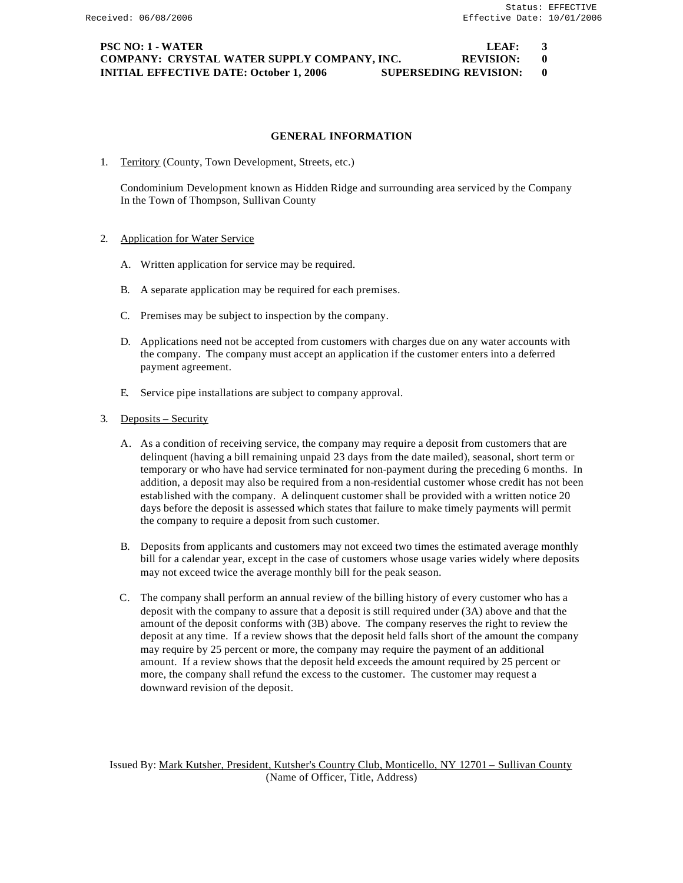**PSC NO: 1 - WATER LEAF: 3 COMPANY: CRYSTAL WATER SUPPLY COMPANY, INC. REVISION: 0 INITIAL EFFECTIVE DATE: October 1, 2006 SUPERSEDING REVISION: 0**

## **GENERAL INFORMATION**

1. Territory (County, Town Development, Streets, etc.)

Condominium Development known as Hidden Ridge and surrounding area serviced by the Company In the Town of Thompson, Sullivan County

- 2. Application for Water Service
	- A. Written application for service may be required.
	- B. A separate application may be required for each premises.
	- C. Premises may be subject to inspection by the company.
	- D. Applications need not be accepted from customers with charges due on any water accounts with the company. The company must accept an application if the customer enters into a deferred payment agreement.
	- E. Service pipe installations are subject to company approval.
- 3. Deposits Security
	- A. As a condition of receiving service, the company may require a deposit from customers that are delinquent (having a bill remaining unpaid 23 days from the date mailed), seasonal, short term or temporary or who have had service terminated for non-payment during the preceding 6 months. In addition, a deposit may also be required from a non-residential customer whose credit has not been established with the company. A delinquent customer shall be provided with a written notice 20 days before the deposit is assessed which states that failure to make timely payments will permit the company to require a deposit from such customer.
	- B. Deposits from applicants and customers may not exceed two times the estimated average monthly bill for a calendar year, except in the case of customers whose usage varies widely where deposits may not exceed twice the average monthly bill for the peak season.
	- C. The company shall perform an annual review of the billing history of every customer who has a deposit with the company to assure that a deposit is still required under (3A) above and that the amount of the deposit conforms with (3B) above. The company reserves the right to review the deposit at any time. If a review shows that the deposit held falls short of the amount the company may require by 25 percent or more, the company may require the payment of an additional amount. If a review shows that the deposit held exceeds the amount required by 25 percent or more, the company shall refund the excess to the customer. The customer may request a downward revision of the deposit.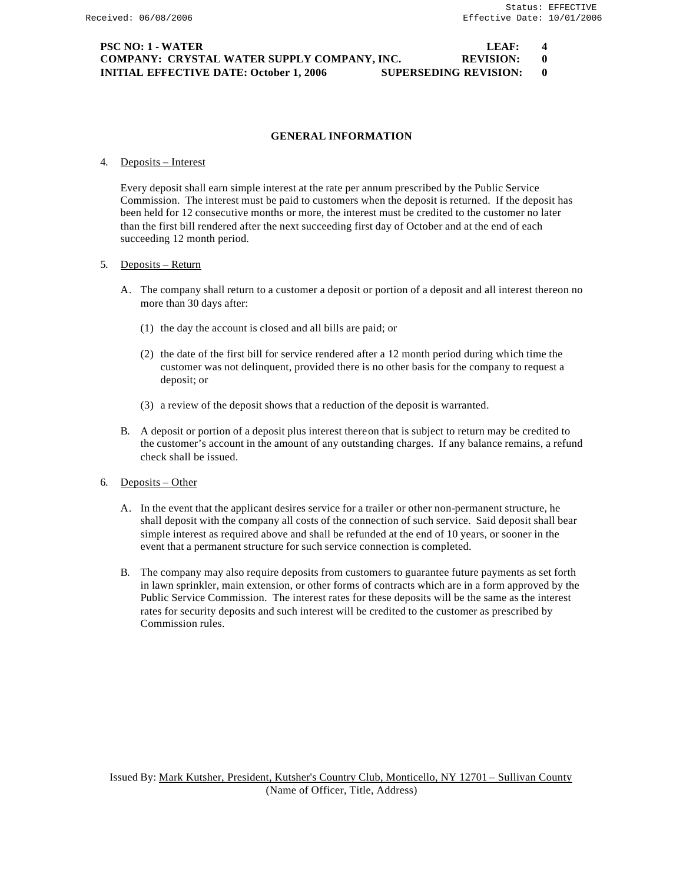#### **PSC NO: 1 - WATER LEAF: 4 COMPANY: CRYSTAL WATER SUPPLY COMPANY, INC. REVISION: 0 INITIAL EFFECTIVE DATE: October 1, 2006 SUPERSEDING REVISION: 0**

## **GENERAL INFORMATION**

#### 4. Deposits – Interest

Every deposit shall earn simple interest at the rate per annum prescribed by the Public Service Commission. The interest must be paid to customers when the deposit is returned. If the deposit has been held for 12 consecutive months or more, the interest must be credited to the customer no later than the first bill rendered after the next succeeding first day of October and at the end of each succeeding 12 month period.

#### 5. Deposits – Return

- A. The company shall return to a customer a deposit or portion of a deposit and all interest thereon no more than 30 days after:
	- (1) the day the account is closed and all bills are paid; or
	- (2) the date of the first bill for service rendered after a 12 month period during which time the customer was not delinquent, provided there is no other basis for the company to request a deposit; or
	- (3) a review of the deposit shows that a reduction of the deposit is warranted.
- B. A deposit or portion of a deposit plus interest thereon that is subject to return may be credited to the customer's account in the amount of any outstanding charges. If any balance remains, a refund check shall be issued.
- 6. Deposits Other
	- A. In the event that the applicant desires service for a trailer or other non-permanent structure, he shall deposit with the company all costs of the connection of such service. Said deposit shall bear simple interest as required above and shall be refunded at the end of 10 years, or sooner in the event that a permanent structure for such service connection is completed.
	- B. The company may also require deposits from customers to guarantee future payments as set forth in lawn sprinkler, main extension, or other forms of contracts which are in a form approved by the Public Service Commission. The interest rates for these deposits will be the same as the interest rates for security deposits and such interest will be credited to the customer as prescribed by Commission rules.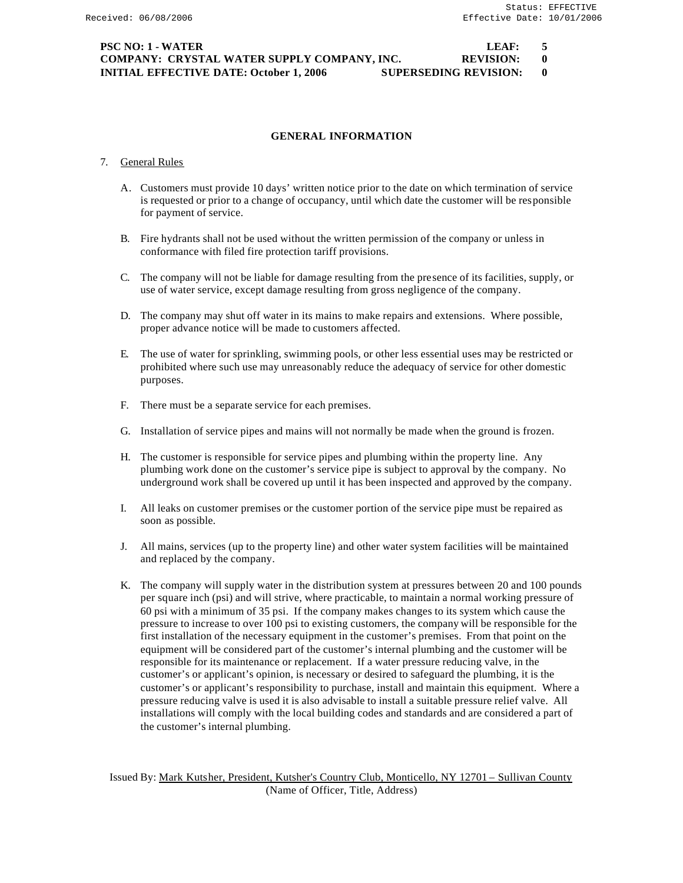## **PSC NO: 1 - WATER LEAF: 5 COMPANY: CRYSTAL WATER SUPPLY COMPANY, INC. REVISION: 0 INITIAL EFFECTIVE DATE: October 1, 2006 SUPERSEDING REVISION: 0**

## **GENERAL INFORMATION**

#### 7. General Rules

- A. Customers must provide 10 days' written notice prior to the date on which termination of service is requested or prior to a change of occupancy, until which date the customer will be responsible for payment of service.
- B. Fire hydrants shall not be used without the written permission of the company or unless in conformance with filed fire protection tariff provisions.
- C. The company will not be liable for damage resulting from the presence of its facilities, supply, or use of water service, except damage resulting from gross negligence of the company.
- D. The company may shut off water in its mains to make repairs and extensions. Where possible, proper advance notice will be made to customers affected.
- E. The use of water for sprinkling, swimming pools, or other less essential uses may be restricted or prohibited where such use may unreasonably reduce the adequacy of service for other domestic purposes.
- F. There must be a separate service for each premises.
- G. Installation of service pipes and mains will not normally be made when the ground is frozen.
- H. The customer is responsible for service pipes and plumbing within the property line. Any plumbing work done on the customer's service pipe is subject to approval by the company. No underground work shall be covered up until it has been inspected and approved by the company.
- I. All leaks on customer premises or the customer portion of the service pipe must be repaired as soon as possible.
- J. All mains, services (up to the property line) and other water system facilities will be maintained and replaced by the company.
- K. The company will supply water in the distribution system at pressures between 20 and 100 pounds per square inch (psi) and will strive, where practicable, to maintain a normal working pressure of 60 psi with a minimum of 35 psi. If the company makes changes to its system which cause the pressure to increase to over 100 psi to existing customers, the company will be responsible for the first installation of the necessary equipment in the customer's premises. From that point on the equipment will be considered part of the customer's internal plumbing and the customer will be responsible for its maintenance or replacement. If a water pressure reducing valve, in the customer's or applicant's opinion, is necessary or desired to safeguard the plumbing, it is the customer's or applicant's responsibility to purchase, install and maintain this equipment. Where a pressure reducing valve is used it is also advisable to install a suitable pressure relief valve. All installations will comply with the local building codes and standards and are considered a part of the customer's internal plumbing.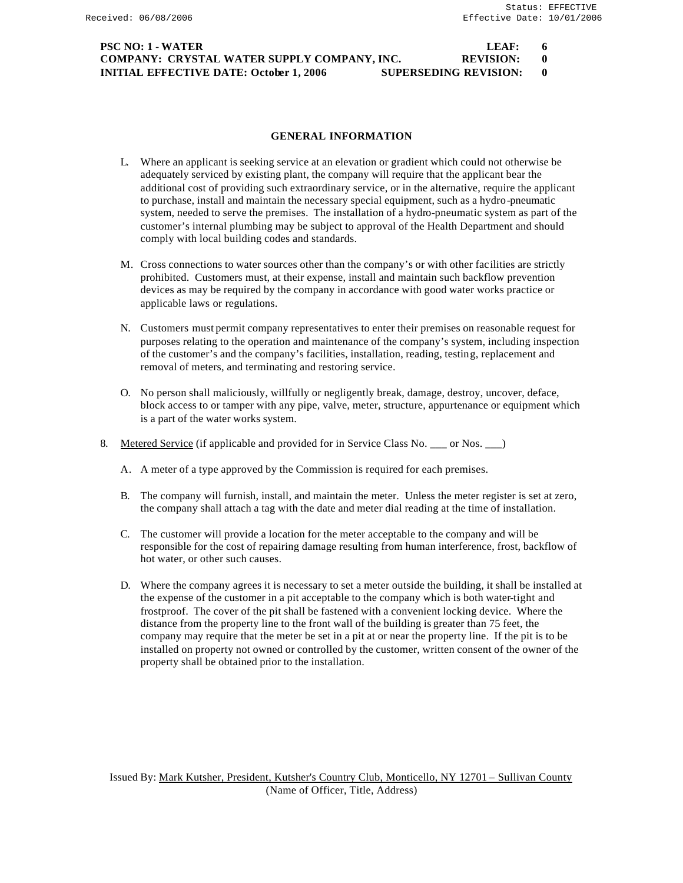## **PSC NO: 1 - WATER LEAF: 6 COMPANY: CRYSTAL WATER SUPPLY COMPANY, INC. REVISION: 0 INITIAL EFFECTIVE DATE: October 1, 2006 SUPERSEDING REVISION: 0**

## **GENERAL INFORMATION**

- L. Where an applicant is seeking service at an elevation or gradient which could not otherwise be adequately serviced by existing plant, the company will require that the applicant bear the additional cost of providing such extraordinary service, or in the alternative, require the applicant to purchase, install and maintain the necessary special equipment, such as a hydro-pneumatic system, needed to serve the premises. The installation of a hydro-pneumatic system as part of the customer's internal plumbing may be subject to approval of the Health Department and should comply with local building codes and standards.
- M. Cross connections to water sources other than the company's or with other facilities are strictly prohibited. Customers must, at their expense, install and maintain such backflow prevention devices as may be required by the company in accordance with good water works practice or applicable laws or regulations.
- N. Customers must permit company representatives to enter their premises on reasonable request for purposes relating to the operation and maintenance of the company's system, including inspection of the customer's and the company's facilities, installation, reading, testing, replacement and removal of meters, and terminating and restoring service.
- O. No person shall maliciously, willfully or negligently break, damage, destroy, uncover, deface, block access to or tamper with any pipe, valve, meter, structure, appurtenance or equipment which is a part of the water works system.
- 8. Metered Service (if applicable and provided for in Service Class No. \_\_\_ or Nos. \_\_\_)
	- A. A meter of a type approved by the Commission is required for each premises.
	- B. The company will furnish, install, and maintain the meter. Unless the meter register is set at zero, the company shall attach a tag with the date and meter dial reading at the time of installation.
	- C. The customer will provide a location for the meter acceptable to the company and will be responsible for the cost of repairing damage resulting from human interference, frost, backflow of hot water, or other such causes.
	- D. Where the company agrees it is necessary to set a meter outside the building, it shall be installed at the expense of the customer in a pit acceptable to the company which is both water-tight and frostproof. The cover of the pit shall be fastened with a convenient locking device. Where the distance from the property line to the front wall of the building is greater than 75 feet, the company may require that the meter be set in a pit at or near the property line. If the pit is to be installed on property not owned or controlled by the customer, written consent of the owner of the property shall be obtained prior to the installation.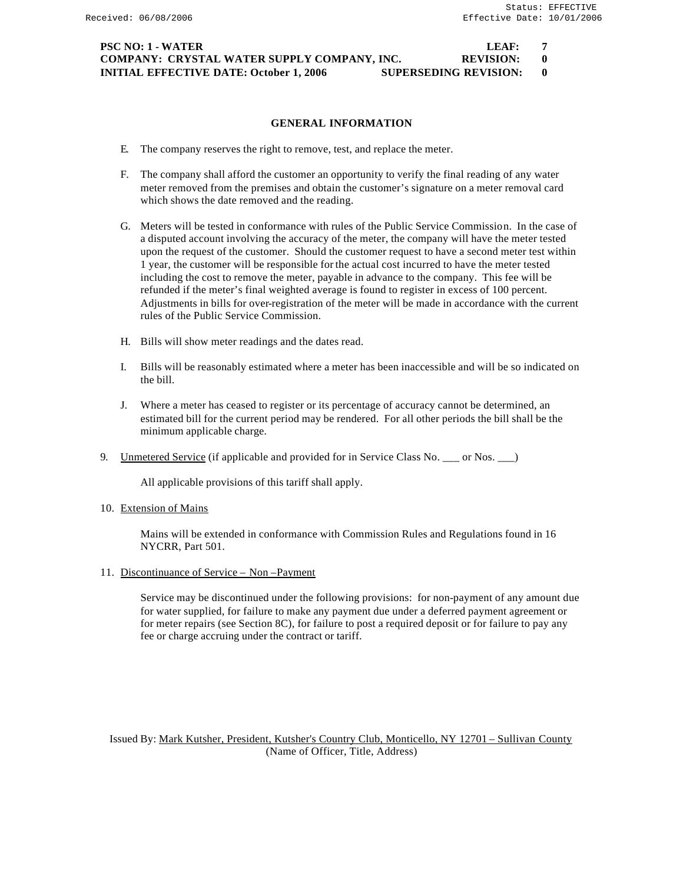## **PSC NO: 1 - WATER LEAF: 7 COMPANY: CRYSTAL WATER SUPPLY COMPANY, INC. REVISION: 0 INITIAL EFFECTIVE DATE: October 1, 2006 SUPERSEDING REVISION: 0**

## **GENERAL INFORMATION**

- E. The company reserves the right to remove, test, and replace the meter.
- F. The company shall afford the customer an opportunity to verify the final reading of any water meter removed from the premises and obtain the customer's signature on a meter removal card which shows the date removed and the reading.
- G. Meters will be tested in conformance with rules of the Public Service Commission. In the case of a disputed account involving the accuracy of the meter, the company will have the meter tested upon the request of the customer. Should the customer request to have a second meter test within 1 year, the customer will be responsible for the actual cost incurred to have the meter tested including the cost to remove the meter, payable in advance to the company. This fee will be refunded if the meter's final weighted average is found to register in excess of 100 percent. Adjustments in bills for over-registration of the meter will be made in accordance with the current rules of the Public Service Commission.
- H. Bills will show meter readings and the dates read.
- I. Bills will be reasonably estimated where a meter has been inaccessible and will be so indicated on the bill.
- J. Where a meter has ceased to register or its percentage of accuracy cannot be determined, an estimated bill for the current period may be rendered. For all other periods the bill shall be the minimum applicable charge.
- 9. Unmetered Service (if applicable and provided for in Service Class No. \_\_\_ or Nos. \_\_\_)

All applicable provisions of this tariff shall apply.

10. Extension of Mains

Mains will be extended in conformance with Commission Rules and Regulations found in 16 NYCRR, Part 501.

11. Discontinuance of Service – Non –Payment

Service may be discontinued under the following provisions: for non-payment of any amount due for water supplied, for failure to make any payment due under a deferred payment agreement or for meter repairs (see Section 8C), for failure to post a required deposit or for failure to pay any fee or charge accruing under the contract or tariff.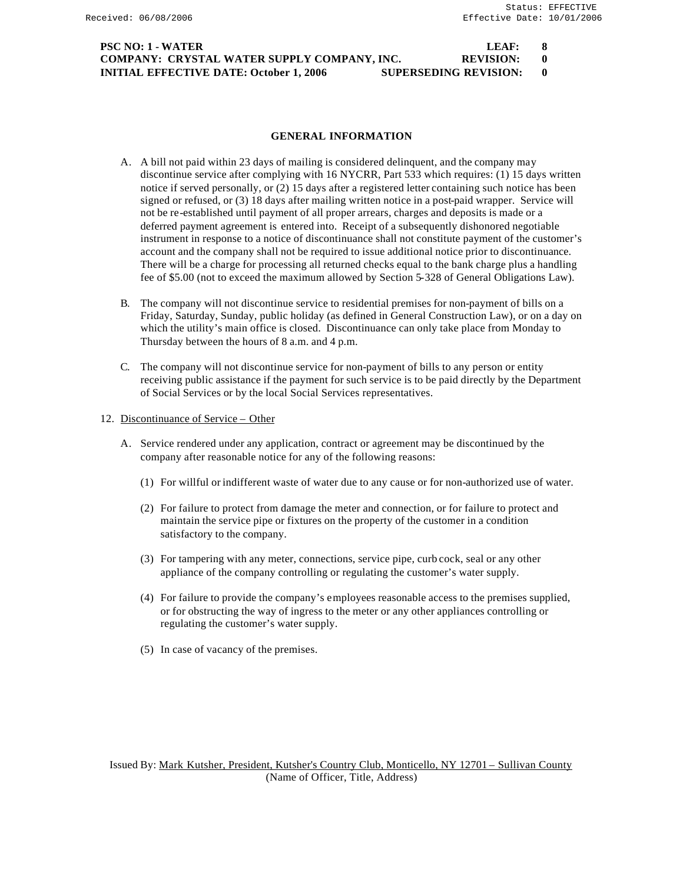## **PSC NO: 1 - WATER LEAF: 8 COMPANY: CRYSTAL WATER SUPPLY COMPANY, INC. REVISION: 0 INITIAL EFFECTIVE DATE: October 1, 2006 SUPERSEDING REVISION: 0**

## **GENERAL INFORMATION**

- A. A bill not paid within 23 days of mailing is considered delinquent, and the company may discontinue service after complying with 16 NYCRR, Part 533 which requires: (1) 15 days written notice if served personally, or (2) 15 days after a registered letter containing such notice has been signed or refused, or (3) 18 days after mailing written notice in a post-paid wrapper. Service will not be re-established until payment of all proper arrears, charges and deposits is made or a deferred payment agreement is entered into. Receipt of a subsequently dishonored negotiable instrument in response to a notice of discontinuance shall not constitute payment of the customer's account and the company shall not be required to issue additional notice prior to discontinuance. There will be a charge for processing all returned checks equal to the bank charge plus a handling fee of \$5.00 (not to exceed the maximum allowed by Section 5-328 of General Obligations Law).
- B. The company will not discontinue service to residential premises for non-payment of bills on a Friday, Saturday, Sunday, public holiday (as defined in General Construction Law), or on a day on which the utility's main office is closed. Discontinuance can only take place from Monday to Thursday between the hours of 8 a.m. and 4 p.m.
- C. The company will not discontinue service for non-payment of bills to any person or entity receiving public assistance if the payment for such service is to be paid directly by the Department of Social Services or by the local Social Services representatives.
- 12. Discontinuance of Service Other
	- A. Service rendered under any application, contract or agreement may be discontinued by the company after reasonable notice for any of the following reasons:
		- (1) For willful or indifferent waste of water due to any cause or for non-authorized use of water.
		- (2) For failure to protect from damage the meter and connection, or for failure to protect and maintain the service pipe or fixtures on the property of the customer in a condition satisfactory to the company.
		- (3) For tampering with any meter, connections, service pipe, curb cock, seal or any other appliance of the company controlling or regulating the customer's water supply.
		- (4) For failure to provide the company's employees reasonable access to the premises supplied, or for obstructing the way of ingress to the meter or any other appliances controlling or regulating the customer's water supply.
		- (5) In case of vacancy of the premises.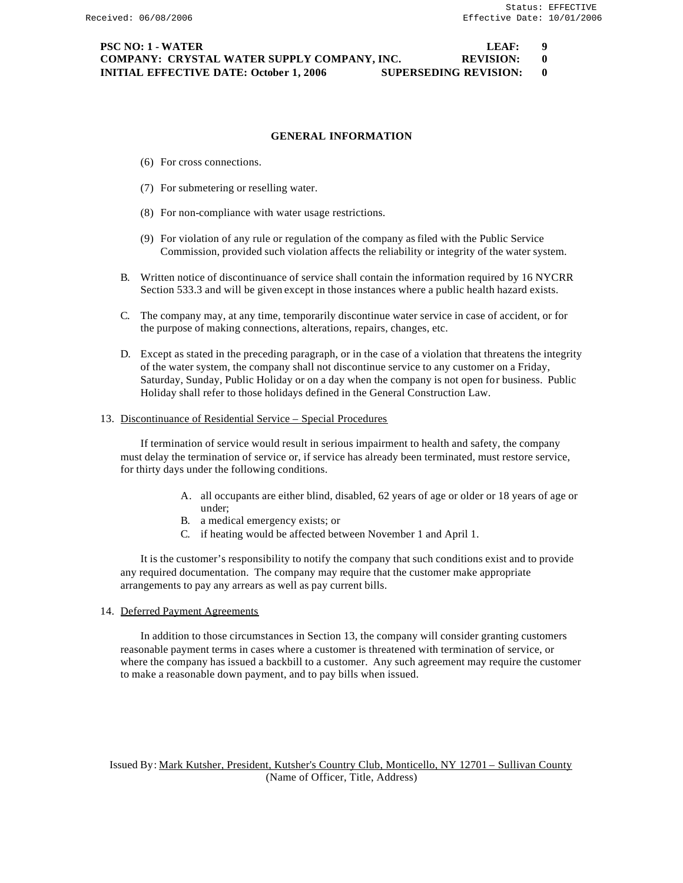**PSC NO: 1 - WATER LEAF: 9 COMPANY: CRYSTAL WATER SUPPLY COMPANY, INC. REVISION: 0 INITIAL EFFECTIVE DATE: October 1, 2006 SUPERSEDING REVISION: 0**

## **GENERAL INFORMATION**

- (6) For cross connections.
- (7) For submetering or reselling water.
- (8) For non-compliance with water usage restrictions.
- (9) For violation of any rule or regulation of the company as filed with the Public Service Commission, provided such violation affects the reliability or integrity of the water system.
- B. Written notice of discontinuance of service shall contain the information required by 16 NYCRR Section 533.3 and will be given except in those instances where a public health hazard exists.
- C. The company may, at any time, temporarily discontinue water service in case of accident, or for the purpose of making connections, alterations, repairs, changes, etc.
- D. Except as stated in the preceding paragraph, or in the case of a violation that threatens the integrity of the water system, the company shall not discontinue service to any customer on a Friday, Saturday, Sunday, Public Holiday or on a day when the company is not open for business. Public Holiday shall refer to those holidays defined in the General Construction Law.

#### 13. Discontinuance of Residential Service – Special Procedures

If termination of service would result in serious impairment to health and safety, the company must delay the termination of service or, if service has already been terminated, must restore service, for thirty days under the following conditions.

- A. all occupants are either blind, disabled, 62 years of age or older or 18 years of age or under;
- B. a medical emergency exists; or
- C. if heating would be affected between November 1 and April 1.

It is the customer's responsibility to notify the company that such conditions exist and to provide any required documentation. The company may require that the customer make appropriate arrangements to pay any arrears as well as pay current bills.

14. Deferred Payment Agreements

In addition to those circumstances in Section 13, the company will consider granting customers reasonable payment terms in cases where a customer is threatened with termination of service, or where the company has issued a backbill to a customer. Any such agreement may require the customer to make a reasonable down payment, and to pay bills when issued.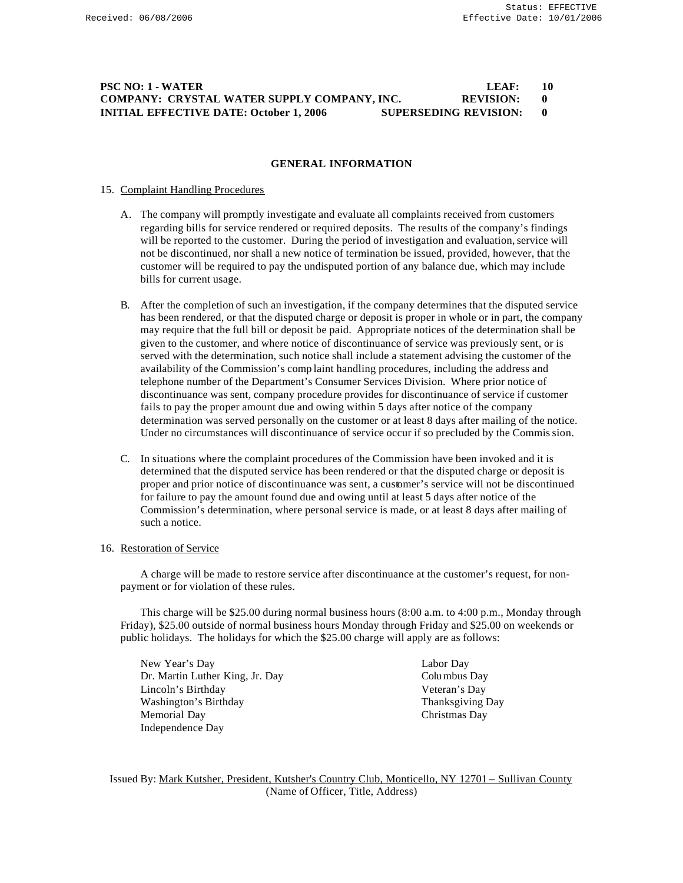## **PSC NO: 1 - WATER LEAF:** 10 **COMPANY: CRYSTAL WATER SUPPLY COMPANY, INC. REVISION:** 0 **INITIAL EFFECTIVE DATE: October 1, 2006 SUPERSEDING REVISION: 0**

### **GENERAL INFORMATION**

### 15. Complaint Handling Procedures

- A. The company will promptly investigate and evaluate all complaints received from customers regarding bills for service rendered or required deposits. The results of the company's findings will be reported to the customer. During the period of investigation and evaluation, service will not be discontinued, nor shall a new notice of termination be issued, provided, however, that the customer will be required to pay the undisputed portion of any balance due, which may include bills for current usage.
- B. After the completion of such an investigation, if the company determines that the disputed service has been rendered, or that the disputed charge or deposit is proper in whole or in part, the company may require that the full bill or deposit be paid. Appropriate notices of the determination shall be given to the customer, and where notice of discontinuance of service was previously sent, or is served with the determination, such notice shall include a statement advising the customer of the availability of the Commission's comp laint handling procedures, including the address and telephone number of the Department's Consumer Services Division. Where prior notice of discontinuance was sent, company procedure provides for discontinuance of service if customer fails to pay the proper amount due and owing within 5 days after notice of the company determination was served personally on the customer or at least 8 days after mailing of the notice. Under no circumstances will discontinuance of service occur if so precluded by the Commission.
- C. In situations where the complaint procedures of the Commission have been invoked and it is determined that the disputed service has been rendered or that the disputed charge or deposit is proper and prior notice of discontinuance was sent, a customer's service will not be discontinued for failure to pay the amount found due and owing until at least 5 days after notice of the Commission's determination, where personal service is made, or at least 8 days after mailing of such a notice.

#### 16. Restoration of Service

A charge will be made to restore service after discontinuance at the customer's request, for nonpayment or for violation of these rules.

This charge will be \$25.00 during normal business hours (8:00 a.m. to 4:00 p.m., Monday through Friday), \$25.00 outside of normal business hours Monday through Friday and \$25.00 on weekends or public holidays. The holidays for which the \$25.00 charge will apply are as follows:

New Year's Day Labor Day Dr. Martin Luther King, Jr. Day Columbus Day Lincoln's Birthday Veteran's Day Washington's Birthday Thanksgiving Day Memorial Day Christmas Day Independence Day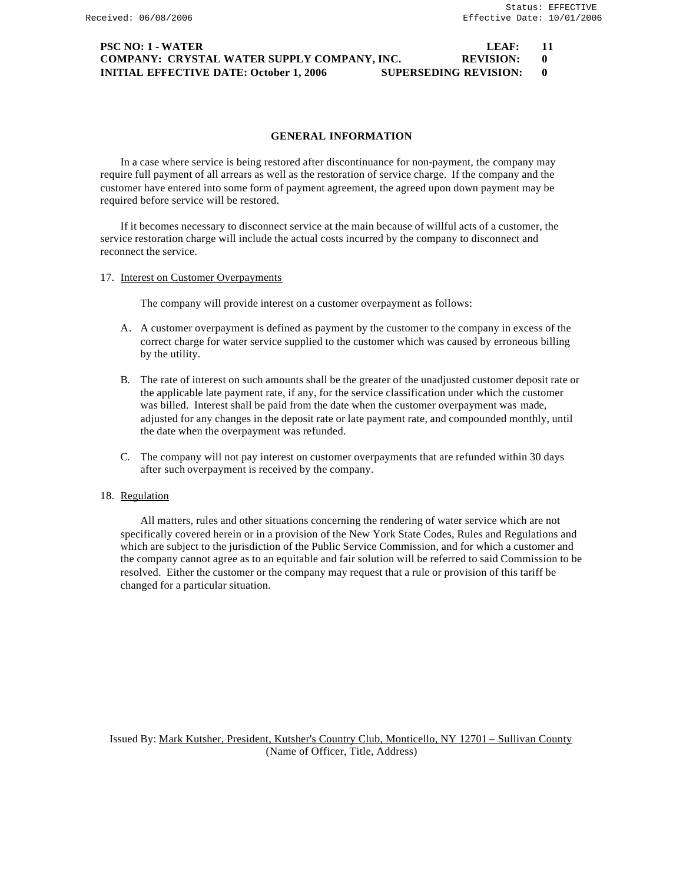## **PSC NO: 1 - WATER LEAF: 11 COMPANY: CRYSTAL WATER SUPPLY COMPANY, INC. REVISION: 0 INITIAL EFFECTIVE DATE: October 1, 2006 SUPERSEDING REVISION: 0**

## **GENERAL INFORMATION**

In a case where service is being restored after discontinuance for non-payment, the company may require full payment of all arrears as well as the restoration of service charge. If the company and the customer have entered into some form of payment agreement, the agreed upon down payment may be required before service will be restored.

If it becomes necessary to disconnect service at the main because of willful acts of a customer, the service restoration charge will include the actual costs incurred by the company to disconnect and reconnect the service.

17. Interest on Customer Overpayments

The company will provide interest on a customer overpayment as follows:

- A. A customer overpayment is defined as payment by the customer to the company in excess of the correct charge for water service supplied to the customer which was caused by erroneous billing by the utility.
- B. The rate of interest on such amounts shall be the greater of the unadjusted customer deposit rate or the applicable late payment rate, if any, for the service classification under which the customer was billed. Interest shall be paid from the date when the customer overpayment was made, adjusted for any changes in the deposit rate or late payment rate, and compounded monthly, until the date when the overpayment was refunded.
- C. The company will not pay interest on customer overpayments that are refunded within 30 days after such overpayment is received by the company.

## 18. Regulation

All matters, rules and other situations concerning the rendering of water service which are not specifically covered herein or in a provision of the New York State Codes, Rules and Regulations and which are subject to the jurisdiction of the Public Service Commission, and for which a customer and the company cannot agree as to an equitable and fair solution will be referred to said Commission to be resolved. Either the customer or the company may request that a rule or provision of this tariff be changed for a particular situation.